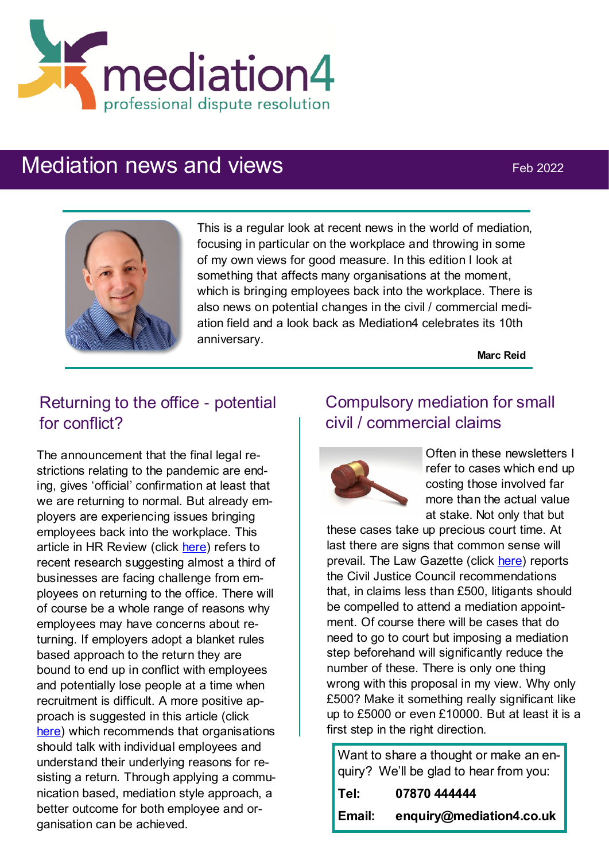

# Mediation news and views Feb 2022



This is a regular look at recent news in the world of mediation, focusing in particular on the workplace and throwing in some of my own views for good measure. In this edition I look at something that affects many organisations at the moment, which is bringing employees back into the workplace. There is also news on potential changes in the civil / commercial mediation field and a look back as Mediation4 celebrates its 10th anniversary.

**Marc Reid**

# Returning to the office - potential for conflict?

The announcement that the final legal restrictions relating to the pandemic are ending, gives 'official' confirmation at least that we are returning to normal. But already employers are experiencing issues bringing employees back into the workplace. This article in HR Review (click [here\)](https://hrnews.co.uk/one-in-three-office-employees-havent-been-back-to-the-workplace-since-march-2020/) refers to recent research suggesting almost a third of businesses are facing challenge from employees on returning to the office. There will of course be a whole range of reasons why employees may have concerns about returning. If employers adopt a blanket rules based approach to the return they are bound to end up in conflict with employees and potentially lose people at a time when recruitment is difficult. A more positive approach is suggested in this article (click [here\)](https://www.scotsman.com/news/opinion/columnists/mediation-can-help-overcome-issues-of-a-phased-return-to-the-office-graham-boyack-3570919) which recommends that organisations should talk with individual employees and understand their underlying reasons for resisting a return. Through applying a communication based, mediation style approach, a better outcome for both employee and organisation can be achieved.

# Compulsory mediation for small civil / commercial claims



Often in these newsletters I refer to cases which end up costing those involved far more than the actual value at stake. Not only that but

these cases take up precious court time. At last there are signs that common sense will prevail. The Law Gazette (click [here\)](https://www.lawgazette.co.uk/news/force-small-claims-into-mediation-says-cjc/5111341.article) reports the Civil Justice Council recommendations that, in claims less than £500, litigants should be compelled to attend a mediation appointment. Of course there will be cases that do need to go to court but imposing a mediation step beforehand will significantly reduce the number of these. There is only one thing wrong with this proposal in my view. Why only £500? Make it something really significant like up to £5000 or even £10000. But at least it is a first step in the right direction.

Want to share a thought or make an enquiry? We'll be glad to hear from you:

| Tel:   | 07870 444444             |
|--------|--------------------------|
| Email: | enquiry@mediation4.co.uk |